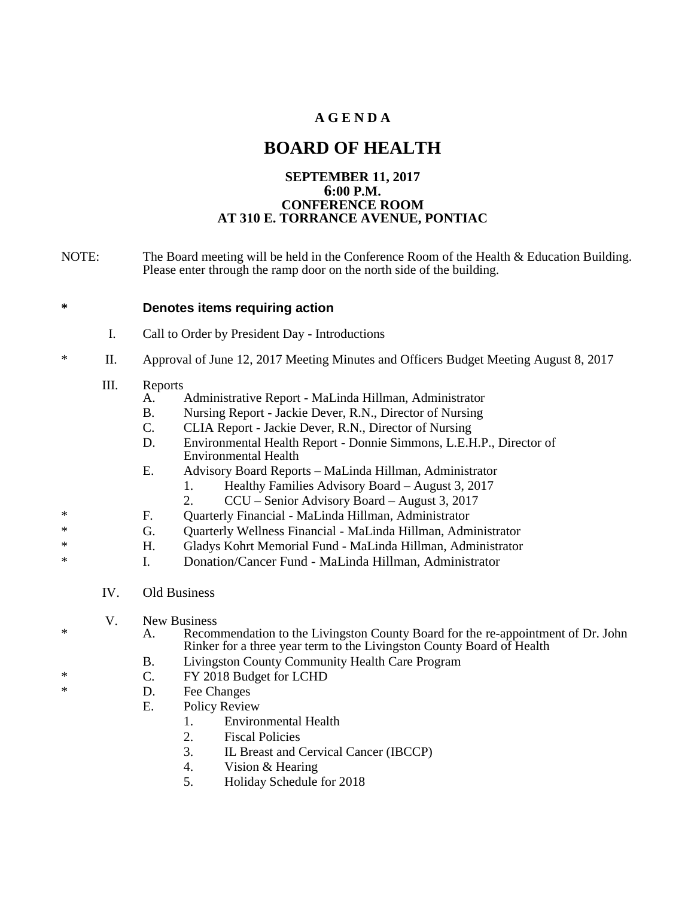### **A G E N D A**

# **BOARD OF HEALTH**

#### **SEPTEMBER 11, 2017 6:00 P.M. CONFERENCE ROOM AT 310 E. TORRANCE AVENUE, PONTIAC**

NOTE: The Board meeting will be held in the Conference Room of the Health & Education Building. Please enter through the ramp door on the north side of the building.

#### **\* Denotes items requiring action**

- I. Call to Order by President Day Introductions
- \* II. Approval of June 12, 2017 Meeting Minutes and Officers Budget Meeting August 8, 2017

# III. Reports<br>A.

- Administrative Report MaLinda Hillman, Administrator
- B. Nursing Report Jackie Dever, R.N., Director of Nursing
- C. CLIA Report Jackie Dever, R.N., Director of Nursing
- D. Environmental Health Report Donnie Simmons, L.E.H.P., Director of Environmental Health
- E. Advisory Board Reports MaLinda Hillman, Administrator
	- 1. Healthy Families Advisory Board August 3, 2017
	- 2. CCU Senior Advisory Board August 3, 2017
- \* F. Quarterly Financial MaLinda Hillman, Administrator
- \* G. Quarterly Wellness Financial MaLinda Hillman, Administrator
- \* H. Gladys Kohrt Memorial Fund MaLinda Hillman, Administrator
	- I. Donation/Cancer Fund MaLinda Hillman, Administrator
		- IV. Old Business
	- V. New Business
- \* A. Recommendation to the Livingston County Board for the re-appointment of Dr. John Rinker for a three year term to the Livingston County Board of Health
	- B. Livingston County Community Health Care Program
- \* C. FY 2018 Budget for LCHD
- \* D. Fee Changes
	- E. Policy Review
		- 1. Environmental Health
		- 2. Fiscal Policies
		- 3. IL Breast and Cervical Cancer (IBCCP)
		- 4. Vision & Hearing
		- 5. Holiday Schedule for 2018